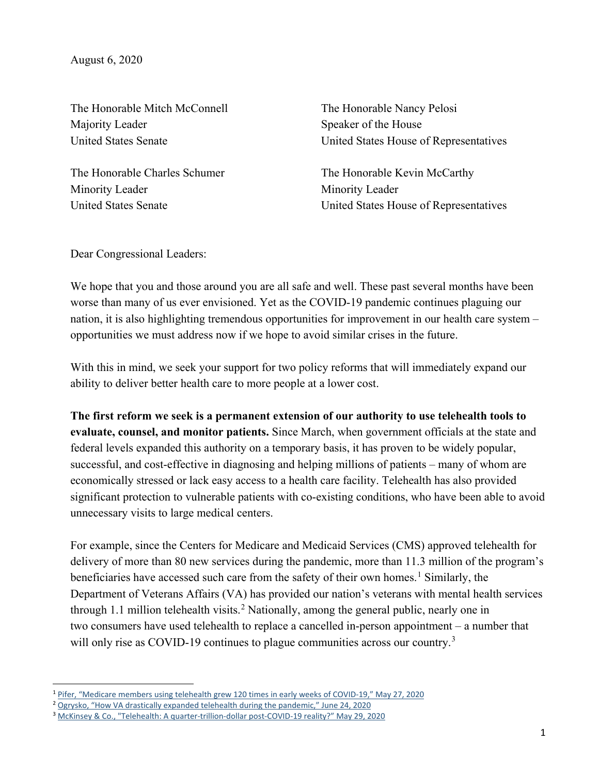August 6, 2020

The Honorable Mitch McConnell Majority Leader United States Senate

The Honorable Charles Schumer Minority Leader United States Senate

The Honorable Nancy Pelosi Speaker of the House United States House of Representatives

The Honorable Kevin McCarthy Minority Leader United States House of Representatives

Dear Congressional Leaders:

We hope that you and those around you are all safe and well. These past several months have been worse than many of us ever envisioned. Yet as the COVID-19 pandemic continues plaguing our nation, it is also highlighting tremendous opportunities for improvement in our health care system – opportunities we must address now if we hope to avoid similar crises in the future.

With this in mind, we seek your support for two policy reforms that will immediately expand our ability to deliver better health care to more people at a lower cost.

**The first reform we seek is a permanent extension of our authority to use telehealth tools to evaluate, counsel, and monitor patients.** Since March, when government officials at the state and federal levels expanded this authority on a temporary basis, it has proven to be widely popular, successful, and cost-effective in diagnosing and helping millions of patients – many of whom are economically stressed or lack easy access to a health care facility. Telehealth has also provided significant protection to vulnerable patients with co-existing conditions, who have been able to avoid unnecessary visits to large medical centers.

For example, since the Centers for Medicare and Medicaid Services (CMS) approved telehealth for delivery of more than 80 new services during the pandemic, more than 11.3 million of the program's beneficiaries have accessed such care from the safety of their own homes.<sup>[1](#page-0-0)</sup> Similarly, the Department of Veterans Affairs (VA) has provided our nation's veterans with mental health services through 1.1 million telehealth visits.<sup>[2](#page-0-1)</sup> Nationally, among the general public, nearly one in two consumers have used telehealth to replace a cancelled in-person appointment – a number that will only rise as COVID-19 continues to plague communities across our country.<sup>[3](#page-0-2)</sup>

<span id="page-0-0"></span> <sup>1</sup> [Pifer, "Medicare members using telehealth grew 120 times in early weeks of COVID-19," May 27, 2020](https://www.healthcaredive.com/news/medicare-seniors-telehealth-covid-coronavirus-cms-trump/578685/)

<span id="page-0-1"></span><sup>&</sup>lt;sup>2</sup> [Ogrysko, "How VA drastically expanded telehealth during the pandemic," June 24, 2020](https://federalnewsnetwork.com/veterans-affairs/2020/06/how-va-drastically-expanded-telehealth-during-the-pandemic/)

<span id="page-0-2"></span><sup>3</sup> [McKinsey & Co., "Telehealth: A quarter-trillion-dollar post-COVID-19 reality?" May 29, 2020](https://www.mckinsey.com/industries/healthcare-systems-and-services/our-insights/telehealth-a-quarter-trillion-dollar-post-covid-19-reality)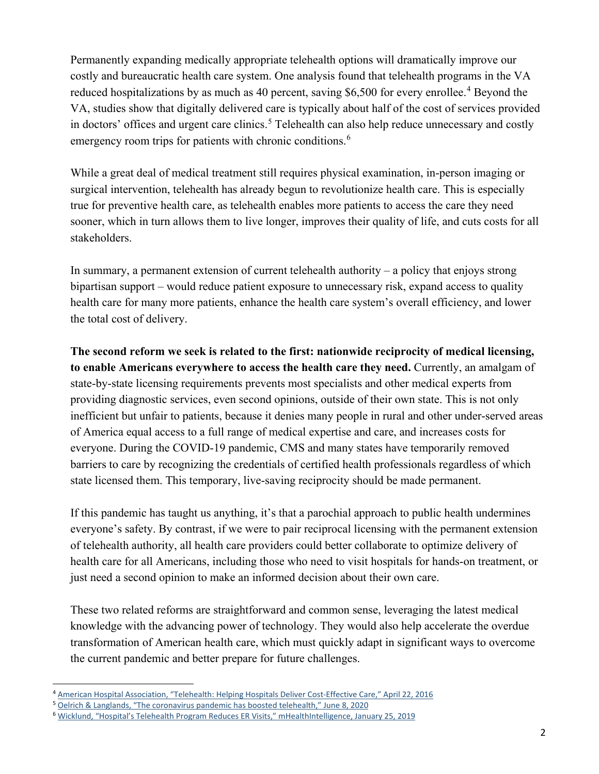Permanently expanding medically appropriate telehealth options will dramatically improve our costly and bureaucratic health care system. One analysis found that telehealth programs in the VA reduced hospitalizations by as much as [4](#page-1-0)0 percent, saving \$6,500 for every enrollee.<sup>4</sup> Beyond the VA, studies show that digitally delivered care is typically about half of the cost of services provided in doctors' offices and urgent care clinics. [5](#page-1-1) Telehealth can also help reduce unnecessary and costly emergency room trips for patients with chronic conditions.<sup>[6](#page-1-2)</sup>

While a great deal of medical treatment still requires physical examination, in-person imaging or surgical intervention, telehealth has already begun to revolutionize health care. This is especially true for preventive health care, as telehealth enables more patients to access the care they need sooner, which in turn allows them to live longer, improves their quality of life, and cuts costs for all stakeholders.

In summary, a permanent extension of current telehealth authority – a policy that enjoys strong bipartisan support – would reduce patient exposure to unnecessary risk, expand access to quality health care for many more patients, enhance the health care system's overall efficiency, and lower the total cost of delivery.

**The second reform we seek is related to the first: nationwide reciprocity of medical licensing, to enable Americans everywhere to access the health care they need.** Currently, an amalgam of state-by-state licensing requirements prevents most specialists and other medical experts from providing diagnostic services, even second opinions, outside of their own state. This is not only inefficient but unfair to patients, because it denies many people in rural and other under-served areas of America equal access to a full range of medical expertise and care, and increases costs for everyone. During the COVID-19 pandemic, CMS and many states have temporarily removed barriers to care by recognizing the credentials of certified health professionals regardless of which state licensed them. This temporary, live-saving reciprocity should be made permanent.

If this pandemic has taught us anything, it's that a parochial approach to public health undermines everyone's safety. By contrast, if we were to pair reciprocal licensing with the permanent extension of telehealth authority, all health care providers could better collaborate to optimize delivery of health care for all Americans, including those who need to visit hospitals for hands-on treatment, or just need a second opinion to make an informed decision about their own care.

These two related reforms are straightforward and common sense, leveraging the latest medical knowledge with the advancing power of technology. They would also help accelerate the overdue transformation of American health care, which must quickly adapt in significant ways to overcome the current pandemic and better prepare for future challenges.

<span id="page-1-0"></span> <sup>4</sup> [American Hospital Association, "Telehealth: Helping Hospitals Deliver Cost-Effective Care,"](https://www.aha.org/system/files/content/16/16telehealthissuebrief.pdf/) April 22, 2016

<span id="page-1-1"></span><sup>5</sup> [Oelrich & Langlands, "The coronavirus pandemic has boosted telehealth," June 8, 2020](https://www.forbes.com/sites/coronavirusfrontlines/2020/06/08/the-coronavirus-pandemic-has-boosted-telehealth-heres-how-existing-spaces-can-support-virtual-visits/#503096597560)

<span id="page-1-2"></span><sup>6</sup> [Wicklund, "Hospital's Telehealth Program Reduces ER Visits," mHealthIntelligence, January 25, 2019](https://mhealthintelligence.com/news/hospitals-telehealth-program-reduces-er-visits-treatment-costs#:%7E:text=January%2025%2C%202019%20%2D%20A%20telehealth,percent%2C%20according%20to%20hospital%20officials.)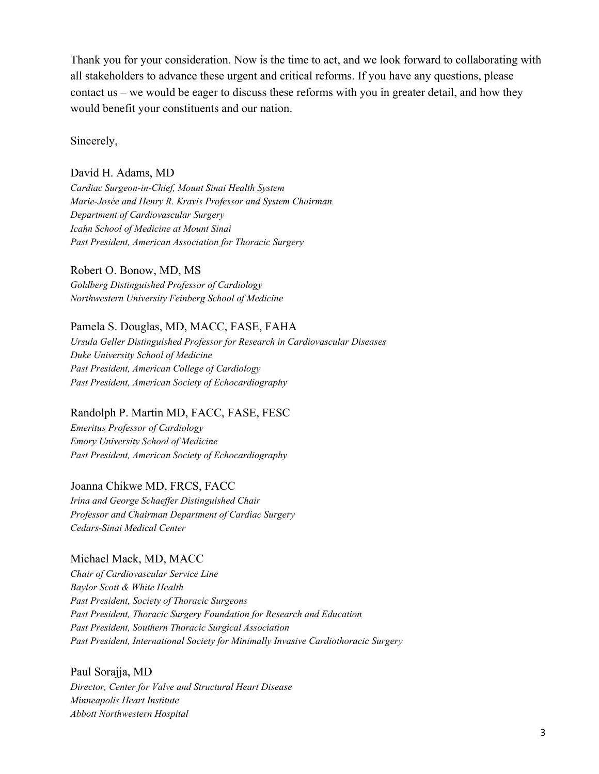Thank you for your consideration. Now is the time to act, and we look forward to collaborating with all stakeholders to advance these urgent and critical reforms. If you have any questions, please contact us – we would be eager to discuss these reforms with you in greater detail, and how they would benefit your constituents and our nation.

Sincerely,

### David H. Adams, MD

*Cardiac Surgeon-in-Chief, Mount Sinai Health System Marie-Josée and Henry R. Kravis Professor and System Chairman Department of Cardiovascular Surgery Icahn School of Medicine at Mount Sinai Past President, American Association for Thoracic Surgery*

#### Robert O. Bonow, MD, MS

*Goldberg Distinguished Professor of Cardiology Northwestern University Feinberg School of Medicine*

### Pamela S. Douglas, MD, MACC, FASE, FAHA

*Ursula Geller Distinguished Professor for Research in Cardiovascular Diseases Duke University School of Medicine Past President, American College of Cardiology Past President, American Society of Echocardiography*

Randolph P. Martin MD, FACC, FASE, FESC *Emeritus Professor of Cardiology Emory University School of Medicine*

*Past President, American Society of Echocardiography*

### Joanna Chikwe MD, FRCS, FACC

*Irina and George Schaeffer Distinguished Chair Professor and Chairman Department of Cardiac Surgery Cedars-Sinai Medical Center*

### Michael Mack, MD, MACC

*Chair of Cardiovascular Service Line Baylor Scott & White Health Past President, Society of Thoracic Surgeons Past President, Thoracic Surgery Foundation for Research and Education Past President, Southern Thoracic Surgical Association Past President, International Society for Minimally Invasive Cardiothoracic Surgery*

Paul Sorajja, MD *Director, Center for Valve and Structural Heart Disease Minneapolis Heart Institute Abbott Northwestern Hospital*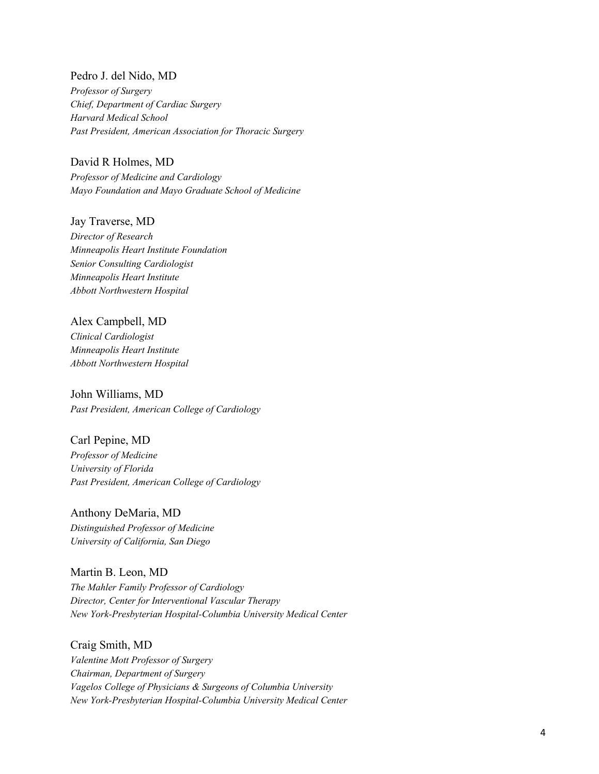Pedro J. del Nido, MD *Professor of Surgery Chief, Department of Cardiac Surgery Harvard Medical School Past President, American Association for Thoracic Surgery*

David R Holmes, MD *Professor of Medicine and Cardiology Mayo Foundation and Mayo Graduate School of Medicine*

Jay Traverse, MD *Director of Research Minneapolis Heart Institute Foundation Senior Consulting Cardiologist Minneapolis Heart Institute Abbott Northwestern Hospital*

Alex Campbell, MD *Clinical Cardiologist Minneapolis Heart Institute Abbott Northwestern Hospital*

John Williams, MD *Past President, American College of Cardiology*

Carl Pepine, MD *Professor of Medicine University of Florida Past President, American College of Cardiology*

Anthony DeMaria, MD *Distinguished Professor of Medicine University of California, San Diego*

Martin B. Leon, MD *The Mahler Family Professor of Cardiology Director, Center for Interventional Vascular Therapy New York-Presbyterian Hospital-Columbia University Medical Center*

Craig Smith, MD *Valentine Mott Professor of Surgery Chairman, Department of Surgery Vagelos College of Physicians & Surgeons of Columbia University New York-Presbyterian Hospital-Columbia University Medical Center*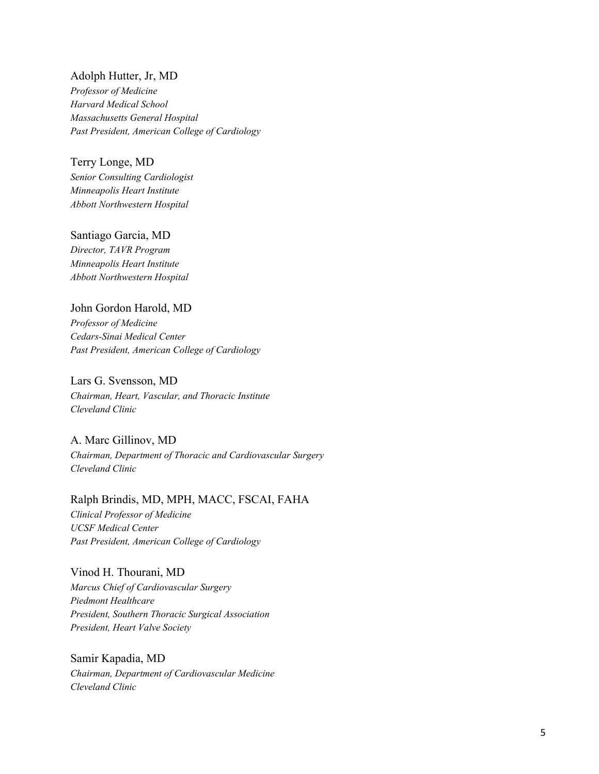Adolph Hutter, Jr, MD *Professor of Medicine*

*Harvard Medical School Massachusetts General Hospital Past President, American College of Cardiology*

Terry Longe, MD

*Senior Consulting Cardiologist Minneapolis Heart Institute Abbott Northwestern Hospital*

Santiago Garcia, MD

*Director, TAVR Program Minneapolis Heart Institute Abbott Northwestern Hospital*

# John Gordon Harold, MD

*Professor of Medicine Cedars-Sinai Medical Center Past President, American College of Cardiology*

# Lars G. Svensson, MD

*Chairman, Heart, Vascular, and Thoracic Institute Cleveland Clinic*

A. Marc Gillinov, MD *Chairman, Department of Thoracic and Cardiovascular Surgery Cleveland Clinic* 

Ralph Brindis, MD, MPH, MACC, FSCAI, FAHA *Clinical Professor of Medicine UCSF Medical Center Past President, American College of Cardiology*

Vinod H. Thourani, MD *Marcus Chief of Cardiovascular Surgery Piedmont Healthcare President, Southern Thoracic Surgical Association President, Heart Valve Society*

Samir Kapadia, MD *Chairman, Department of Cardiovascular Medicine Cleveland Clinic*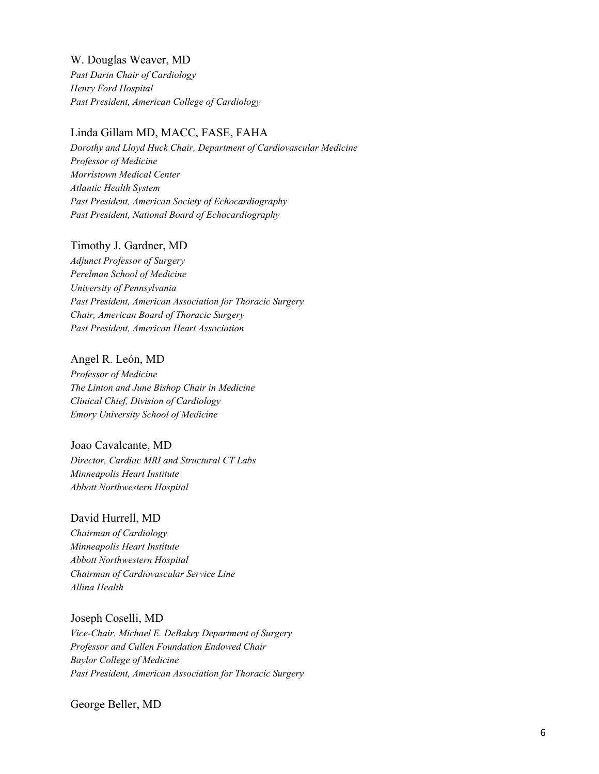W. Douglas Weaver, MD *Past Darin Chair of Cardiology Henry Ford Hospital Past President, American College of Cardiology*

### Linda Gillam MD, MACC, FASE, FAHA

*Dorothy and Lloyd Huck Chair, Department of Cardiovascular Medicine Professor of Medicine Morristown Medical Center Atlantic Health System Past President, American Society of Echocardiography Past President, National Board of Echocardiography*

#### Timothy J. Gardner, MD

*Adjunct Professor of Surgery Perelman School of Medicine University of Pennsylvania Past President, American Association for Thoracic Surgery Chair, American Board of Thoracic Surgery Past President, American Heart Association*

### Angel R. León, MD

*Professor of Medicine The Linton and June Bishop Chair in Medicine Clinical Chief, Division of Cardiology Emory University School of Medicine*

### Joao Cavalcante, MD

*Director, Cardiac MRI and Structural CT Labs Minneapolis Heart Institute Abbott Northwestern Hospital*

#### David Hurrell, MD

*Chairman of Cardiology Minneapolis Heart Institute Abbott Northwestern Hospital Chairman of Cardiovascular Service Line Allina Health*

Joseph Coselli, MD *Vice-Chair, Michael E. DeBakey Department of Surgery Professor and Cullen Foundation Endowed Chair Baylor College of Medicine Past President, American Association for Thoracic Surgery* 

George Beller, MD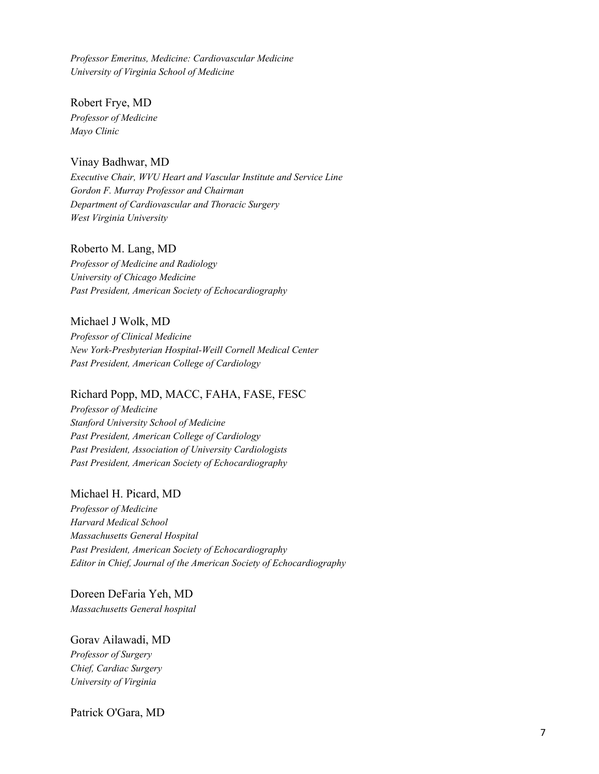*Professor Emeritus, Medicine: Cardiovascular Medicine University of Virginia School of Medicine*

Robert Frye, MD *Professor of Medicine Mayo Clinic*

### Vinay Badhwar, MD

*Executive Chair, WVU Heart and Vascular Institute and Service Line Gordon F. Murray Professor and Chairman Department of Cardiovascular and Thoracic Surgery West Virginia University*

### Roberto M. Lang, MD

*Professor of Medicine and Radiology University of Chicago Medicine Past President, American Society of Echocardiography*

### Michael J Wolk, MD

*Professor of Clinical Medicine New York-Presbyterian Hospital-Weill Cornell Medical Center Past President, American College of Cardiology*

### Richard Popp, MD, MACC, FAHA, FASE, FESC

*Professor of Medicine Stanford University School of Medicine Past President, American College of Cardiology Past President, Association of University Cardiologists Past President, American Society of Echocardiography*

### Michael H. Picard, MD

*Professor of Medicine Harvard Medical School Massachusetts General Hospital Past President, American Society of Echocardiography Editor in Chief, Journal of the American Society of Echocardiography*

Doreen DeFaria Yeh, MD *Massachusetts General hospital* 

### Gorav Ailawadi, MD

*Professor of Surgery Chief, Cardiac Surgery University of Virginia*

Patrick O'Gara, MD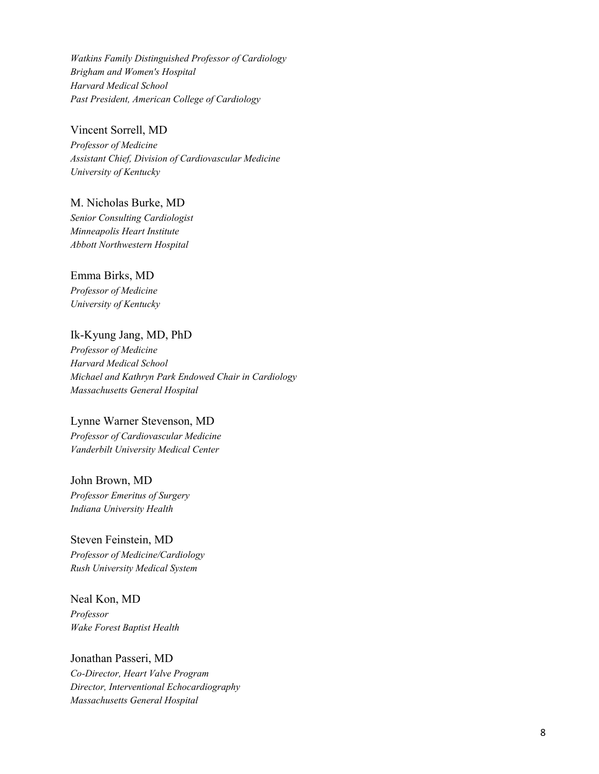*Watkins Family Distinguished Professor of Cardiology Brigham and Women's Hospital Harvard Medical School Past President, American College of Cardiology*

### Vincent Sorrell, MD

*Professor of Medicine Assistant Chief, Division of Cardiovascular Medicine University of Kentucky*

M. Nicholas Burke, MD *Senior Consulting Cardiologist Minneapolis Heart Institute Abbott Northwestern Hospital*

Emma Birks, MD

*Professor of Medicine University of Kentucky*

# Ik -Kyung Jang, MD, PhD

*Professor of Medicine Harvard Medical School Michael and Kathryn Park Endowed Chair in Cardiology Massachusetts General Hospital*

# Lynne Warner Stevenson, MD

*Professor of Cardiovascular Medicine Vanderbilt University Medical Center*

John Brown, MD *Professor Emeritus of Surgery Indiana University Health*

Steven Feinstein, MD *Professor of Medicine/Cardiology Rush University Medical System*

Neal Kon, MD *Professor Wake Forest Baptist Health*

Jonathan Passeri, MD *Co -Director, Heart Valve Program Director, Interventional Echocardiography Massachusetts General Hospital*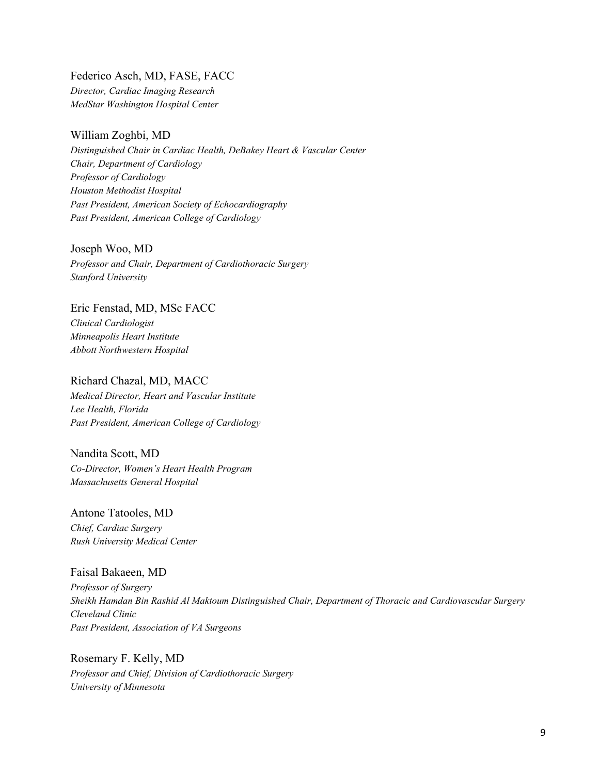Federico Asch, MD, FASE, FACC *Director, Cardiac Imaging Research MedStar Washington Hospital Center*

# William Zoghbi, MD

*Distinguished Chair in Cardiac Health, DeBakey Heart & Vascular Center Chair, Department of Cardiology Professor of Cardiology Houston Methodist Hospital Past President, American Society of Echocardiography Past President, American College of Cardiology*

Joseph Woo, MD *Professor and Chair, Department of Cardiothoracic Surgery Stanford University*

Eric Fenstad, MD, MSc FACC *Clinical Cardiologist Minneapolis Heart Institute Abbott Northwestern Hospital*

Richard Chazal, MD, MACC *Medical Director, Heart and Vascular Institute Lee Health, Florida Past President, American College of Cardiology*

Nandita Scott, MD *Co-Director, Women's Heart Health Program Massachusetts General Hospital* 

Antone Tatooles, MD *Chief, Cardiac Surgery Rush University Medical Center*

### Faisal Bakaeen, MD

*Professor of Surgery Sheikh Hamdan Bin Rashid Al Maktoum Distinguished Chair, Department of Thoracic and Cardiovascular Surgery Cleveland Clinic Past President, Association of VA Surgeons*

Rosemary F. Kelly, MD *Professor and Chief, Division of Cardiothoracic Surgery University of Minnesota*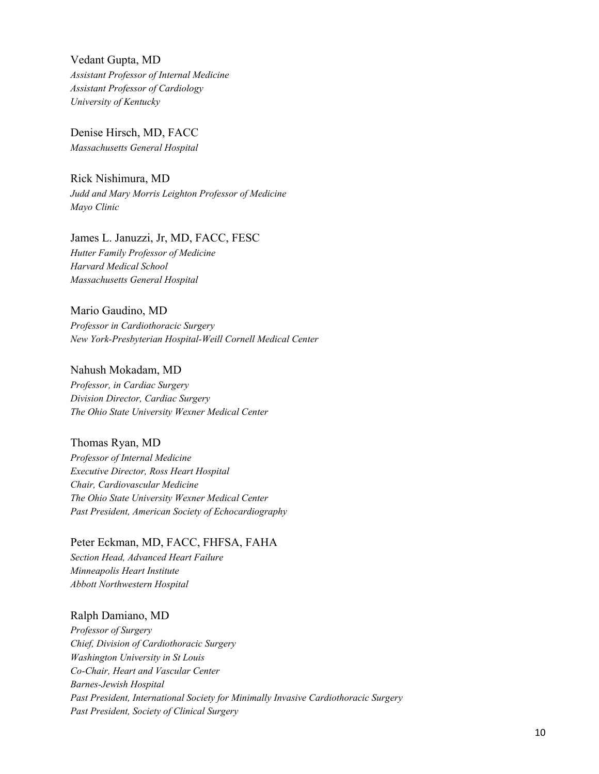Vedant Gupta, MD *Assistant Professor of Internal Medicine Assistant Professor of Cardiology University of Kentucky*

Denise Hirsch, MD, FACC *Massachusetts General Hospital* 

Rick Nishimura, MD *Judd and Mary Morris Leighton Professor of Medicine Mayo Clinic*

# James L. Januzzi, Jr, MD, FACC, FESC *Hutter Family Professor of Medicine Harvard Medical School Massachusetts General Hospital*

Mario Gaudino, MD *Professor in Cardiothoracic Surgery New York-Presbyterian Hospital-Weill Cornell Medical Center*

### Nahush Mokadam, MD

*Professor, in Cardiac Surgery Division Director, Cardiac Surgery The Ohio State University Wexner Medical Center*

### Thomas Ryan, MD

*Professor of Internal Medicine Executive Director, Ross Heart Hospital Chair, Cardiovascular Medicine The Ohio State University Wexner Medical Center Past President, American Society of Echocardiography*

Peter Eckman, MD, FACC, FHFSA, FAHA *Section Head, Advanced Heart Failure Minneapolis Heart Institute Abbott Northwestern Hospital*

### Ralph Damiano, MD

*Professor of Surgery Chief, Division of Cardiothoracic Surgery Washington University in St Louis Co-Chair, Heart and Vascular Center Barnes-Jewish Hospital Past President, International Society for Minimally Invasive Cardiothoracic Surgery Past President, Society of Clinical Surgery*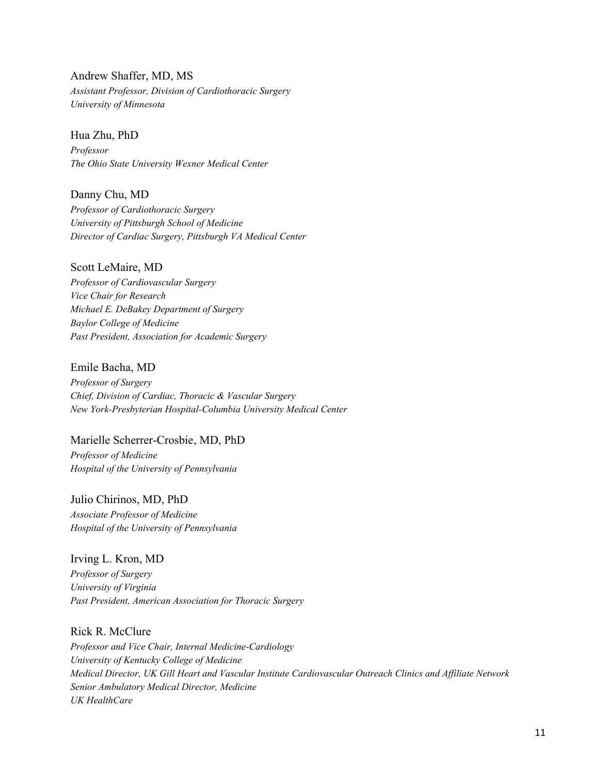Andrew Shaffer, MD, MS *Assistant Professor, Division of Cardiothoracic Surgery University of Minnesota* 

Hua Zhu, PhD *Professor The Ohio State University Wexner Medical Center*

Danny Chu, MD *Professor of Cardiothoracic Surgery University of Pittsburgh School of Medicine Director of Cardiac Surgery, Pittsburgh VA Medical Center*

Scott LeMaire, MD *Professor of Cardiovascular Surgery Vice Chair for Research Michael E. DeBakey Department of Surgery Baylor College of Medicine Past President, Association for Academic Surgery*

Emile Bacha, MD *Professor of Surgery Chief, Division of Cardiac, Thoracic & Vascular Surgery New York-Presbyterian Hospital-Columbia University Medical Center*

Marielle Scherrer-Crosbie, MD, PhD *Professor of Medicine Hospital of the University of Pennsylvania*

Julio Chirinos, MD, PhD *Associate Professor of Medicine Hospital of the University of Pennsylvania*

Irving L. Kron, MD *Professor of Surgery University of Virginia Past President, American Association for Thoracic Surgery* 

Rick R. McClure *Professor and Vice Chair, Internal Medicine-Cardiology University of Kentucky College of Medicine Medical Director, UK Gill Heart and Vascular Institute Cardiovascular Outreach Clinics and Affiliate Network Senior Ambulatory Medical Director, Medicine UK HealthCare*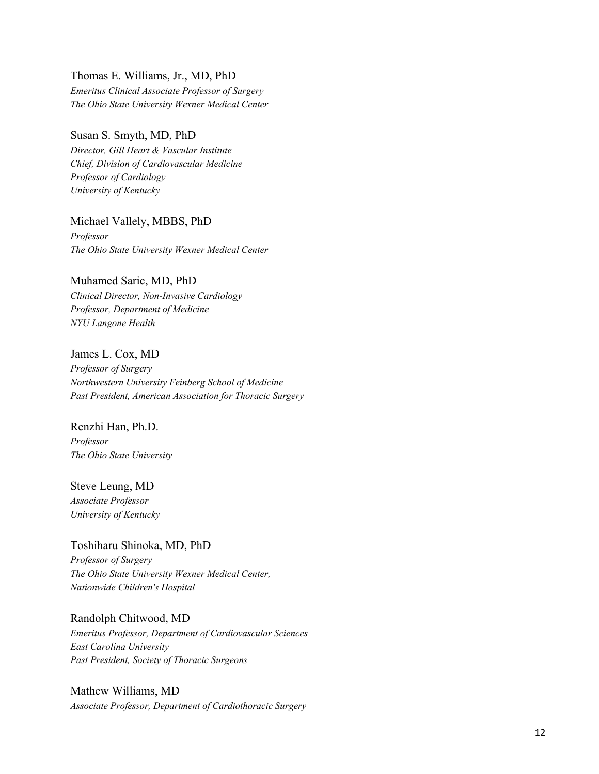### Thomas E. Williams, Jr., MD, PhD

*Emeritus Clinical Associate Professor of Surgery The Ohio State University Wexner Medical Center*

### Susan S. Smyth, MD, PhD

*Director, Gill Heart & Vascular Institute Chief, Division of Cardiovascular Medicine Professor of Cardiology University of Kentucky*

Michael Vallely, MBBS, PhD *Professor The Ohio State University Wexner Medical Center*

### Muhamed Saric, MD, PhD

*Clinical Director, Non-Invasive Cardiology Professor, Department of Medicine NYU Langone Health*

### James L. Cox, MD

*Professor of Surgery Northwestern University Feinberg School of Medicine Past President, American Association for Thoracic Surgery*

# Renzhi Han, Ph.D. *Professor The Ohio State University*

Steve Leung, MD *Associate Professor University of Kentucky*

Toshiharu Shinoka, MD, PhD *Professor of Surgery The Ohio State University Wexner Medical Center, Nationwide Children's Hospital*

# Randolph Chitwood, MD *Emeritus Professor, Department of Cardiovascular Sciences East Carolina University Past President, Society of Thoracic Surgeons*

Mathew Williams, MD *Associate Professor, Department of Cardiothoracic Surgery*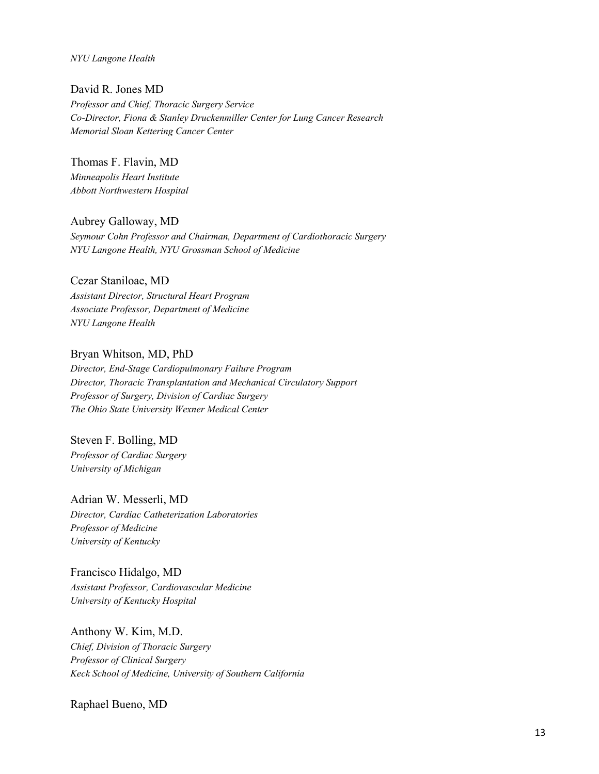*NYU Langone Health*

David R. Jones MD *Professor and Chief, Thoracic Surgery Service Co-Director, Fiona & Stanley Druckenmiller Center for Lung Cancer Research Memorial Sloan Kettering Cancer Center*

Thomas F. Flavin, MD *Minneapolis Heart Institute Abbott Northwestern Hospital*

Aubrey Galloway, MD *Seymour Cohn Professor and Chairman, Department of Cardiothoracic Surgery NYU Langone Health, NYU Grossman School of Medicine*

# Cezar Staniloae, MD

*Assistant Director, Structural Heart Program Associate Professor, Department of Medicine NYU Langone Health*

Bryan Whitson, MD, PhD

*Director, End-Stage Cardiopulmonary Failure Program Director, Thoracic Transplantation and Mechanical Circulatory Support Professor of Surgery, Division of Cardiac Surgery The Ohio State University Wexner Medical Center*

Steven F. Bolling, MD *Professor of Cardiac Surgery University of Michigan*

Adrian W. Messerli, MD *Director, Cardiac Catheterization Laboratories Professor of Medicine University of Kentucky* 

Francisco Hidalgo, MD *Assistant Professor, Cardiovascular Medicine University of Kentucky Hospital* 

Anthony W. Kim, M.D. *Chief, Division of Thoracic Surgery Professor of Clinical Surgery Keck School of Medicine, University of Southern California* 

Raphael Bueno, MD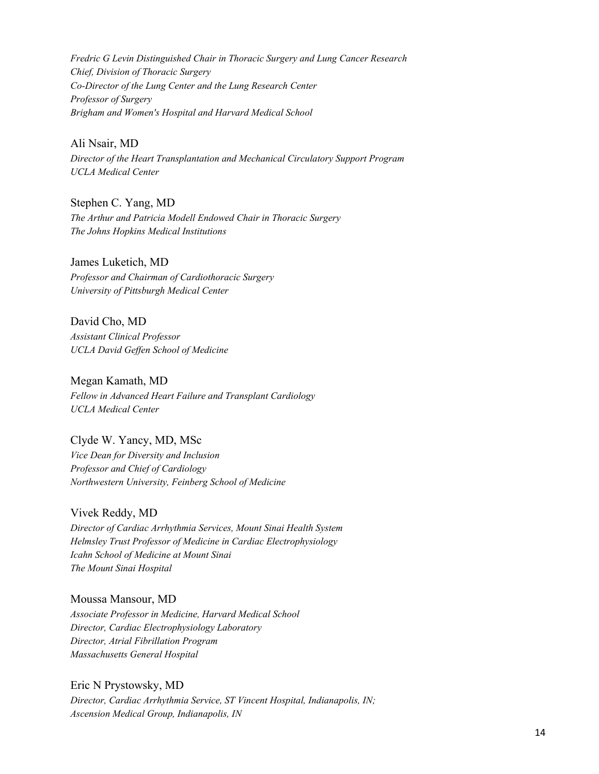*Fredric G Levin Distinguished Chair in Thoracic Surgery and Lung Cancer Research Chief, Division of Thoracic Surgery Co-Director of the Lung Center and the Lung Research Center Professor of Surgery Brigham and Women's Hospital and Harvard Medical School*

Ali Nsair, MD

*Director of the Heart Transplantation and Mechanical Circulatory Support Program UCLA Medical Center*

Stephen C. Yang, MD *The Arthur and Patricia Modell Endowed Chair in Thoracic Surgery The Johns Hopkins Medical Institutions*

James Luketich, MD *Professor and Chairman of Cardiothoracic Surgery University of Pittsburgh Medical Center*

David Cho, MD *Assistant Clinical Professor UCLA David Geffen School of Medicine*

Megan Kamath, MD *Fellow in Advanced Heart Failure and Transplant Cardiology UCLA Medical Center*

Clyde W. Yancy, MD, MSc *Vice Dean for Diversity and Inclusion Professor and Chief of Cardiology Northwestern University, Feinberg School of Medicine*

Vivek Reddy, MD *Director of Cardiac Arrhythmia Services, Mount Sinai Health System Helmsley Trust Professor of Medicine in Cardiac Electrophysiology Icahn School of Medicine at Mount Sinai The Mount Sinai Hospital*

Moussa Mansour, MD *Associate Professor in Medicine, Harvard Medical School Director, Cardiac Electrophysiology Laboratory Director, Atrial Fibrillation Program Massachusetts General Hospital*

Eric N Prystowsky, MD *Director, Cardiac Arrhythmia Service, ST Vincent Hospital, Indianapolis, IN; Ascension Medical Group, Indianapolis, IN*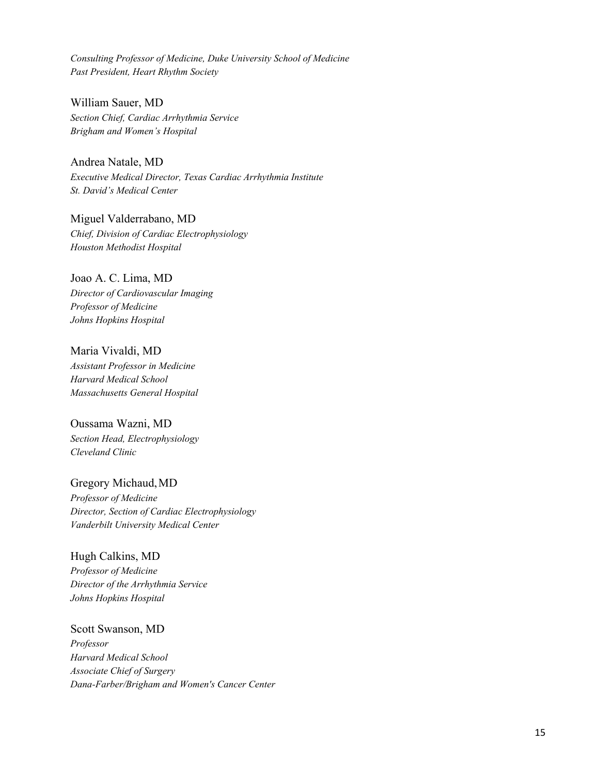*Consulting Professor of Medicine, Duke University School of Medicine Past President, Heart Rhythm Society*

William Sauer, MD *Section Chief, Cardiac Arrhythmia Service Brigham and Women's Hospital*

Andrea Natale, MD *Executive Medical Director, Texas Cardiac Arrhythmia Institute St. David's Medical Center*

Miguel Valderrabano, MD *Chief, Division of Cardiac Electrophysiology Houston Methodist Hospital*

Joao A. C. Lima, MD *Director of Cardiovascular Imaging Professor of Medicine Johns Hopkins Hospital*

Maria Vivaldi, MD *Assistant Professor in Medicine Harvard Medical School Massachusetts General Hospital*

Oussama Wazni, MD *Section Head, Electrophysiology Cleveland Clinic*

Gregory Michaud,MD *Professor of Medicine Director, Section of Cardiac Electrophysiology Vanderbilt University Medical Center*

Hugh Calkins, MD *Professor of Medicine Director of the Arrhythmia Service Johns Hopkins Hospital*

Scott Swanson, MD *Professor Harvard Medical School Associate Chief of Surgery Dana-Farber/Brigham and Women's Cancer Center*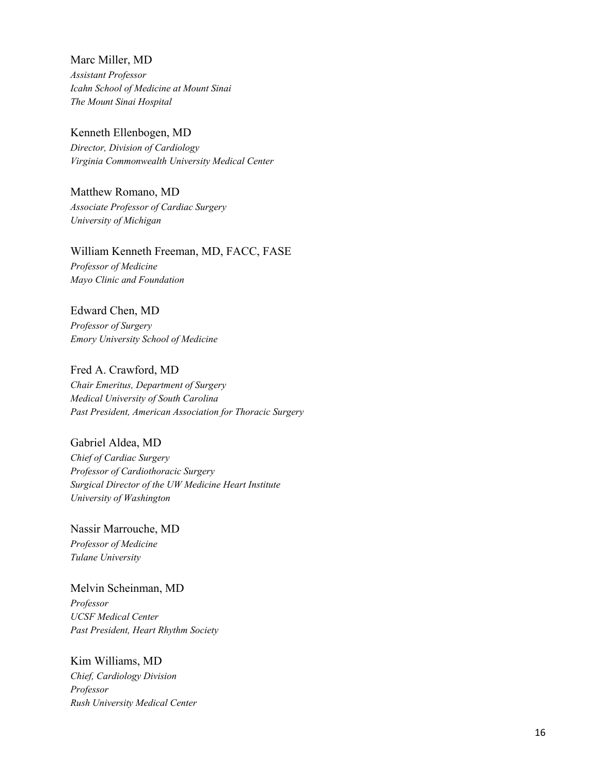Marc Miller, MD *Assistant Professor Icahn School of Medicine at Mount Sinai The Mount Sinai Hospital*

Kenneth Ellenbogen, MD *Director, Division of Cardiology Virginia Commonwealth University Medical Center*

Matthew Romano, MD *Associate Professor of Cardiac Surgery University of Michigan*

### William Kenneth Freeman, MD, FACC, FASE

*Professor of Medicine Mayo Clinic and Foundation*

### Edward Chen, MD

*Professor of Surgery Emory University School of Medicine*

### Fred A. Crawford, MD

*Chair Emeritus, Department of Surgery Medical University of South Carolina Past President, American Association for Thoracic Surgery*

Gabriel Aldea, MD

*Chief of Cardiac Surgery Professor of Cardiothoracic Surgery Surgical Director of the UW Medicine Heart Institute University of Washington*

Nassir Marrouche, MD *Professor of Medicine Tulane University*

Melvin Scheinman, MD *Professor UCSF Medical Center Past President, Heart Rhythm Society*

Kim Williams, MD *Chief, Cardiology Division Professor Rush University Medical Center*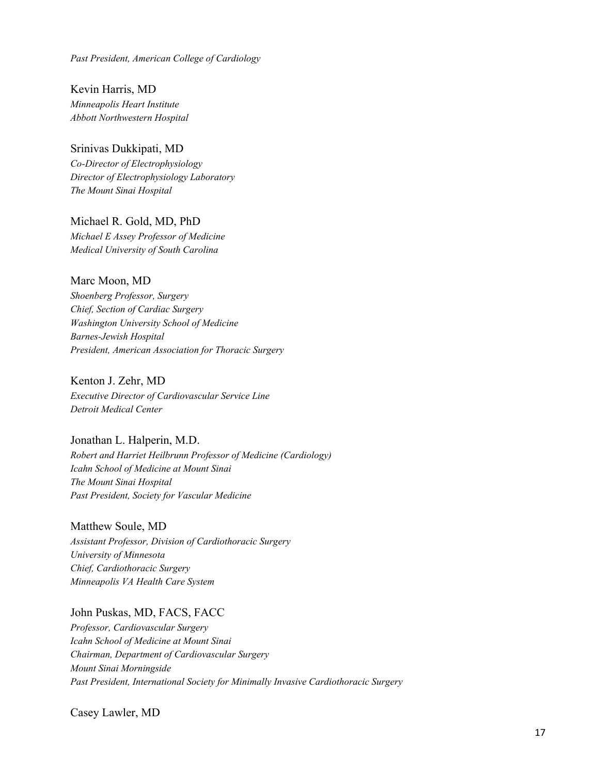*Past President, American College of Cardiology*

Kevin Harris, MD *Minneapolis Heart Institute Abbott Northwestern Hospital*

Srinivas Dukkipati, MD *Co-Director of Electrophysiology Director of Electrophysiology Laboratory The Mount Sinai Hospital*

Michael R. Gold, MD, PhD *Michael E Assey Professor of Medicine Medical University of South Carolina*

# Marc Moon, MD

*Shoenberg Professor, Surgery Chief, Section of Cardiac Surgery Washington University School of Medicine Barnes-Jewish Hospital President, American Association for Thoracic Surgery*

Kenton J. Zehr, MD *Executive Director of Cardiovascular Service Line Detroit Medical Center*

# Jonathan L. Halperin, M.D.

*Robert and Harriet Heilbrunn Professor of Medicine (Cardiology) Icahn School of Medicine at Mount Sinai The Mount Sinai Hospital Past President, Society for Vascular Medicine*

Matthew Soule, MD

*Assistant Professor, Division of Cardiothoracic Surgery University of Minnesota Chief, Cardiothoracic Surgery Minneapolis VA Health Care System*

### John Puskas, MD, FACS, FACC

*Professor, Cardiovascular Surgery Icahn School of Medicine at Mount Sinai Chairman, Department of Cardiovascular Surgery Mount Sinai Morningside Past President, International Society for Minimally Invasive Cardiothoracic Surgery*

Casey Lawler, MD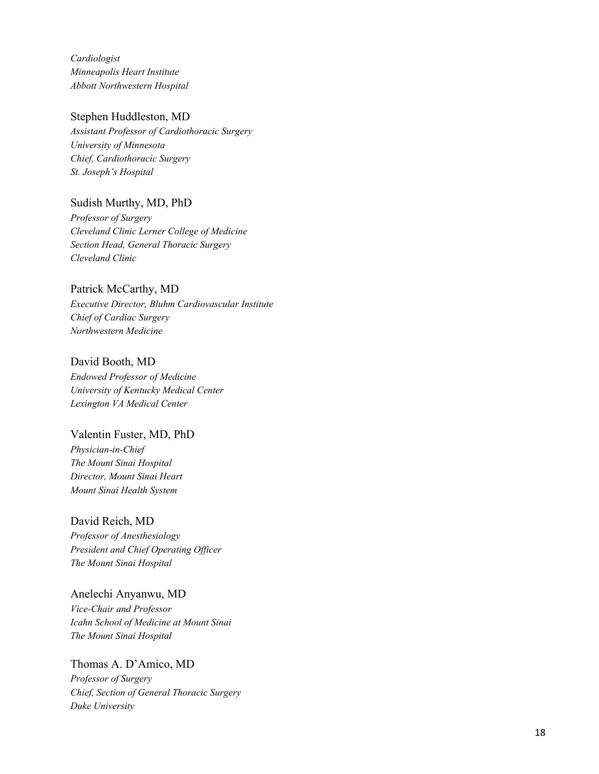*Cardiologist Minneapolis Heart Institute Abbott Northwestern Hospital*

### Stephen Huddleston, MD

*Assistant Professor of Cardiothoracic Surgery University of Minnesota Chief, Cardiothoracic Surgery St. Joseph's Hospital*

# Sudish Murthy, MD, PhD

*Professor of Surgery Cleveland Clinic Lerner College of Medicine Section Head, General Thoracic Surgery Cleveland Clinic*

# Patrick McCarthy, MD

*Executive Director, Bluhm Cardiovascular Institute Chief of Cardiac Surgery Northwestern Medicine*

### David Booth, MD

*Endowed Professor of Medicine University of Kentucky Medical Center Lexington VA Medical Center*

### Valentin Fuster, MD, PhD

*Physician -in -Chief The Mount Sinai Hospital Director, Mount Sinai Heart Mount Sinai Health System*

# David Reich, MD

*Professor of Anesthesiology President and Chief Operating Officer The Mount Sinai Hospital*

# Anelechi Anyanwu, MD *Vice -Chair and Professor Icahn School of Medicine at Mount Sinai*

*The Mount Sinai Hospital*

# Thomas A. D'Amico, MD

*Professor of Surgery Chief, Section of General Thoracic Surgery Duke University*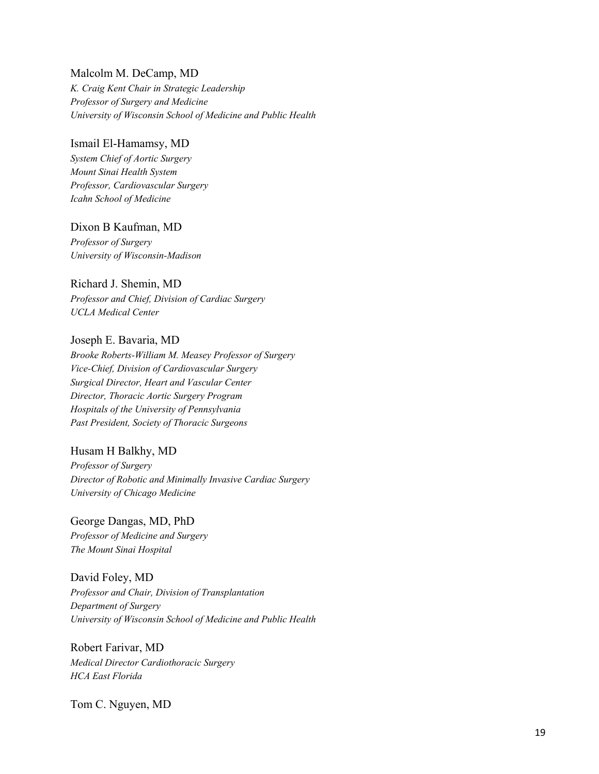### Malcolm M. DeCamp, MD

*K. Craig Kent Chair in Strategic Leadership Professor of Surgery and Medicine University of Wisconsin School of Medicine and Public Health*

### Ismail El-Hamamsy, MD

*System Chief of Aortic Surgery Mount Sinai Health System Professor, Cardiovascular Surgery Icahn School of Medicine*

### Dixon B Kaufman, MD

*Professor of Surgery University of Wisconsin-Madison*

### Richard J. Shemin, MD

*Professor and Chief, Division of Cardiac Surgery UCLA Medical Center*

### Joseph E. Bavaria, MD

*Brooke Roberts-William M. Measey Professor of Surgery Vice-Chief, Division of Cardiovascular Surgery Surgical Director, Heart and Vascular Center Director, Thoracic Aortic Surgery Program Hospitals of the University of Pennsylvania Past President, Society of Thoracic Surgeons*

# Husam H Balkhy, MD

*Professor of Surgery Director of Robotic and Minimally Invasive Cardiac Surgery University of Chicago Medicine*

George Dangas, MD, PhD *Professor of Medicine and Surgery The Mount Sinai Hospital*

# David Foley, MD *Professor and Chair, Division of Transplantation Department of Surgery University of Wisconsin School of Medicine and Public Health*

Robert Farivar, MD *Medical Director Cardiothoracic Surgery HCA East Florida* 

Tom C. Nguyen, MD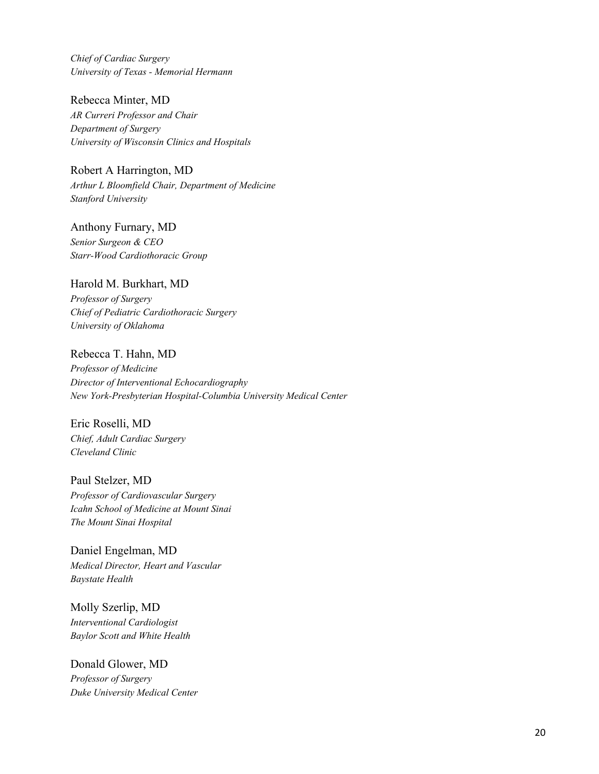*Chief of Cardiac Surgery University of Texas - Memorial Hermann* 

Rebecca Minter, MD *AR Curreri Professor and Chair Department of Surgery University of Wisconsin Clinics and Hospitals*

Robert A Harrington, MD *Arthur L Bloomfield Chair, Department of Medicine Stanford University*

Anthony Furnary, MD *Senior Surgeon & CEO Starr-Wood Cardiothoracic Group*

# Harold M. Burkhart, MD

*Professor of Surgery Chief of Pediatric Cardiothoracic Surgery University of Oklahoma*

# Rebecca T. Hahn, MD

*Professor of Medicine Director of Interventional Echocardiography New York-Presbyterian Hospital-Columbia University Medical Center*

Eric Roselli, MD *Chief, Adult Cardiac Surgery Cleveland Clinic*

Paul Stelzer, MD *Professor of Cardiovascular Surgery Icahn School of Medicine at Mount Sinai The Mount Sinai Hospital*

Daniel Engelman, MD *Medical Director, Heart and Vascular Baystate Health*

Molly Szerlip, MD *Interventional Cardiologist Baylor Scott and White Health*

Donald Glower, MD *Professor of Surgery Duke University Medical Center*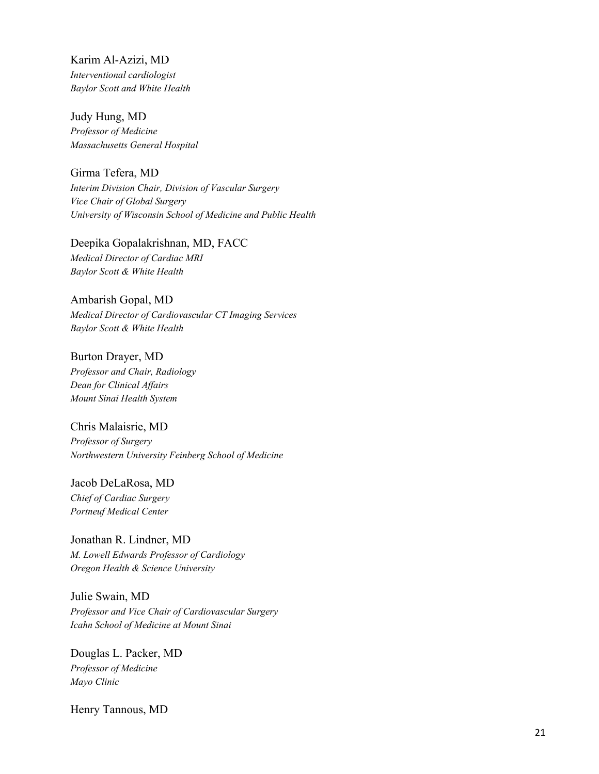Karim Al-Azizi, MD *Interventional cardiologist Baylor Scott and White Health*

Judy Hung, MD *Professor of Medicine Massachusetts General Hospital* 

Girma Tefera, MD *Interim Division Chair, Division of Vascular Surgery Vice Chair of Global Surgery University of Wisconsin School of Medicine and Public Health*

Deepika Gopalakrishnan, MD, FACC *Medical Director of Cardiac MRI Baylor Scott & White Health*

Ambarish Gopal, MD *Medical Director of Cardiovascular CT Imaging Services Baylor Scott & White Health*

Burton Drayer, MD *Professor and Chair, Radiology Dean for Clinical Affairs Mount Sinai Health System*

Chris Malaisrie, MD *Professor of Surgery Northwestern University Feinberg School of Medicine*

Jacob DeLaRosa, MD *Chief of Cardiac Surgery Portneuf Medical Center*

Jonathan R. Lindner, MD *M. Lowell Edwards Professor of Cardiology Oregon Health & Science University*

Julie Swain, MD *Professor and Vice Chair of Cardiovascular Surgery Icahn School of Medicine at Mount Sinai*

Douglas L. Packer, MD *Professor of Medicine Mayo Clinic*

Henry Tannous, MD